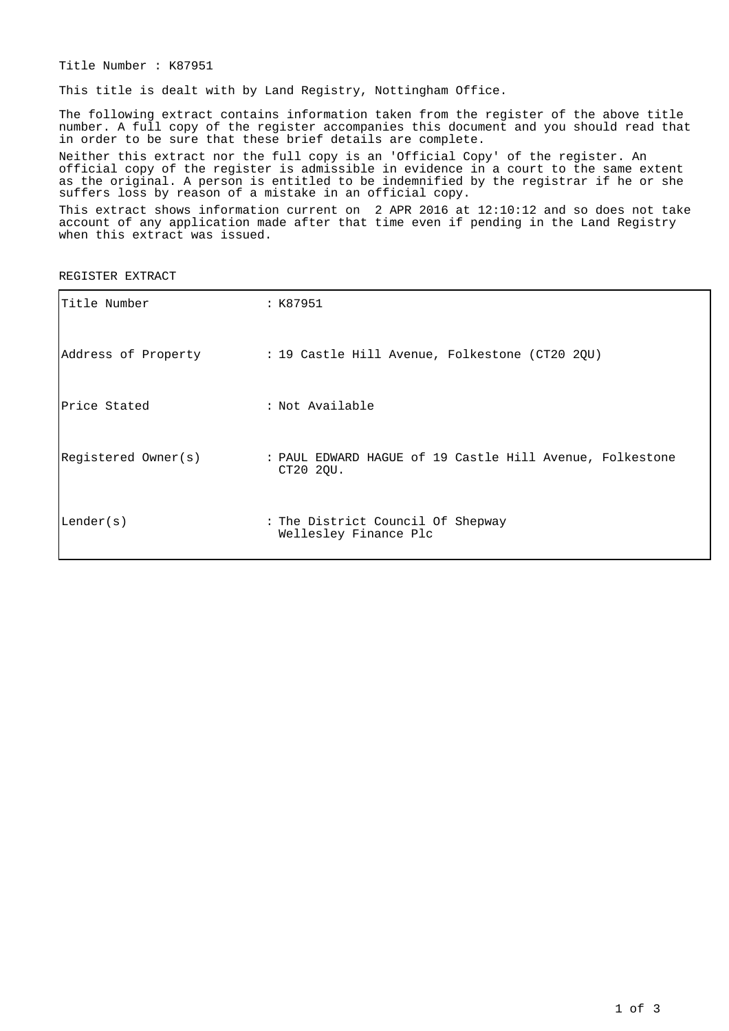Title Number : K87951

This title is dealt with by Land Registry, Nottingham Office.

The following extract contains information taken from the register of the above title number. A full copy of the register accompanies this document and you should read that in order to be sure that these brief details are complete.

Neither this extract nor the full copy is an 'Official Copy' of the register. An official copy of the register is admissible in evidence in a court to the same extent as the original. A person is entitled to be indemnified by the registrar if he or she suffers loss by reason of a mistake in an official copy.

This extract shows information current on 2 APR 2016 at 12:10:12 and so does not take account of any application made after that time even if pending in the Land Registry when this extract was issued.

REGISTER EXTRACT

| Title Number        | : K87951                                                              |
|---------------------|-----------------------------------------------------------------------|
|                     | Address of Property : 19 Castle Hill Avenue, Folkestone (CT20 2QU)    |
| Price Stated        | : Not Available                                                       |
| Registered Owner(s) | : PAUL EDWARD HAGUE of 19 Castle Hill Avenue, Folkestone<br>CT20 2QU. |
| Lender(s)           | : The District Council Of Shepway<br>Wellesley Finance Plc            |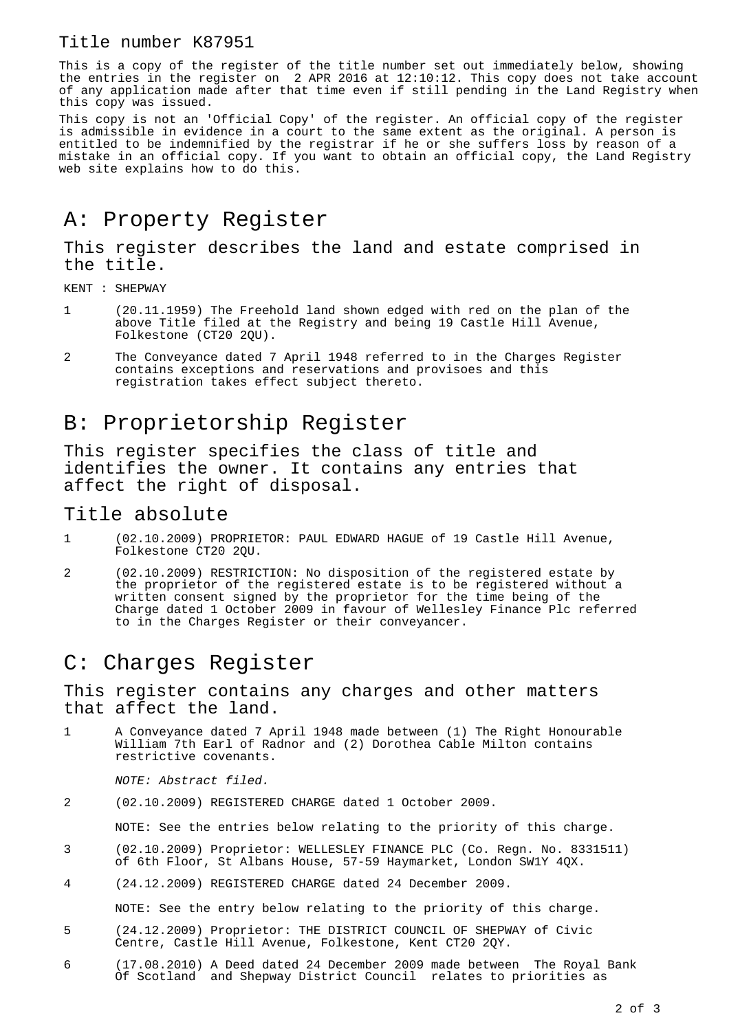#### Title number K87951

This is a copy of the register of the title number set out immediately below, showing the entries in the register on 2 APR 2016 at 12:10:12. This copy does not take account of any application made after that time even if still pending in the Land Registry when this copy was issued.

This copy is not an 'Official Copy' of the register. An official copy of the register is admissible in evidence in a court to the same extent as the original. A person is entitled to be indemnified by the registrar if he or she suffers loss by reason of a mistake in an official copy. If you want to obtain an official copy, the Land Registry web site explains how to do this.

# A: Property Register

This register describes the land and estate comprised in the title.

KENT : SHEPWAY

- 1 (20.11.1959) The Freehold land shown edged with red on the plan of the above Title filed at the Registry and being 19 Castle Hill Avenue, Folkestone (CT20 2QU).
- 2 The Conveyance dated 7 April 1948 referred to in the Charges Register contains exceptions and reservations and provisoes and this registration takes effect subject thereto.

## B: Proprietorship Register

This register specifies the class of title and identifies the owner. It contains any entries that affect the right of disposal.

#### Title absolute

- 1 (02.10.2009) PROPRIETOR: PAUL EDWARD HAGUE of 19 Castle Hill Avenue, Folkestone CT20 2QU.
- 2 (02.10.2009) RESTRICTION: No disposition of the registered estate by the proprietor of the registered estate is to be registered without a written consent signed by the proprietor for the time being of the Charge dated 1 October 2009 in favour of Wellesley Finance Plc referred to in the Charges Register or their conveyancer.

### C: Charges Register

This register contains any charges and other matters that affect the land.

1 A Conveyance dated 7 April 1948 made between (1) The Right Honourable William 7th Earl of Radnor and (2) Dorothea Cable Milton contains restrictive covenants.

NOTE: Abstract filed.

2 (02.10.2009) REGISTERED CHARGE dated 1 October 2009.

NOTE: See the entries below relating to the priority of this charge.

- 3 (02.10.2009) Proprietor: WELLESLEY FINANCE PLC (Co. Regn. No. 8331511) of 6th Floor, St Albans House, 57-59 Haymarket, London SW1Y 4QX.
- 4 (24.12.2009) REGISTERED CHARGE dated 24 December 2009.

NOTE: See the entry below relating to the priority of this charge.

- 5 (24.12.2009) Proprietor: THE DISTRICT COUNCIL OF SHEPWAY of Civic Centre, Castle Hill Avenue, Folkestone, Kent CT20 2QY.
- 6 (17.08.2010) A Deed dated 24 December 2009 made between The Royal Bank Of Scotland and Shepway District Council relates to priorities as